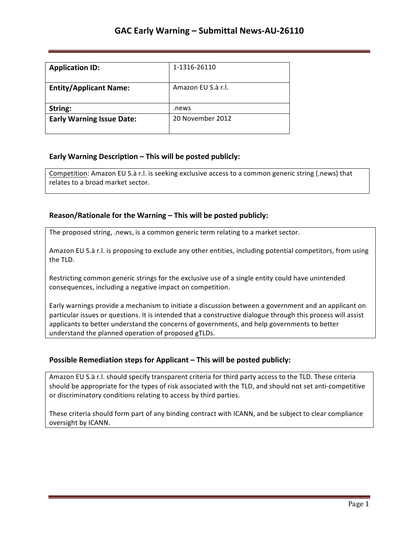| <b>Application ID:</b>           | 1-1316-26110       |
|----------------------------------|--------------------|
| <b>Entity/Applicant Name:</b>    | Amazon EU S.à r.l. |
| String:                          | .news              |
| <b>Early Warning Issue Date:</b> | 20 November 2012   |

### **Early Warning Description – This will be posted publicly:**

Competition: Amazon EU S.à r.l. is seeking exclusive access to a common generic string (.news) that relates to a broad market sector.

### **Reason/Rationale for the Warning – This will be posted publicly:**

The proposed string, .news, is a common generic term relating to a market sector.

Amazon EU S.à r.l. is proposing to exclude any other entities, including potential competitors, from using the TLD.

Restricting common generic strings for the exclusive use of a single entity could have unintended consequences, including a negative impact on competition.

Early warnings provide a mechanism to initiate a discussion between a government and an applicant on particular issues or questions. It is intended that a constructive dialogue through this process will assist applicants to better understand the concerns of governments, and help governments to better understand the planned operation of proposed gTLDs.

### **Possible Remediation steps for Applicant – This will be posted publicly:**

Amazon EU S.à r.l. should specify transparent criteria for third party access to the TLD. These criteria should be appropriate for the types of risk associated with the TLD, and should not set anti-competitive or discriminatory conditions relating to access by third parties.

These criteria should form part of any binding contract with ICANN, and be subject to clear compliance oversight by ICANN.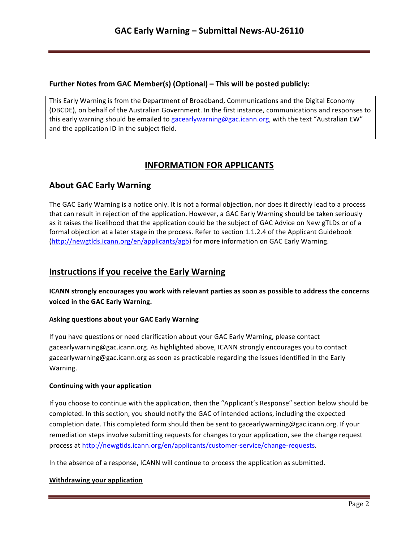### **Further Notes from GAC Member(s) (Optional) – This will be posted publicly:**

This Early Warning is from the Department of Broadband, Communications and the Digital Economy (DBCDE), on behalf of the Australian Government. In the first instance, communications and responses to this early warning should be emailed to gacearlywarning@gac.icann.org, with the text "Australian EW" and the application ID in the subject field.

# **INFORMATION FOR APPLICANTS**

# **About GAC Early Warning**

The GAC Early Warning is a notice only. It is not a formal objection, nor does it directly lead to a process that can result in rejection of the application. However, a GAC Early Warning should be taken seriously as it raises the likelihood that the application could be the subject of GAC Advice on New gTLDs or of a formal objection at a later stage in the process. Refer to section 1.1.2.4 of the Applicant Guidebook (http://newgtlds.icann.org/en/applicants/agb) for more information on GAC Early Warning.

## **Instructions if you receive the Early Warning**

**ICANN** strongly encourages you work with relevant parties as soon as possible to address the concerns voiced in the GAC Early Warning.

### **Asking questions about your GAC Early Warning**

If you have questions or need clarification about your GAC Early Warning, please contact gacearlywarning@gac.icann.org. As highlighted above, ICANN strongly encourages you to contact gacearlywarning@gac.icann.org as soon as practicable regarding the issues identified in the Early Warning. 

### **Continuing with your application**

If you choose to continue with the application, then the "Applicant's Response" section below should be completed. In this section, you should notify the GAC of intended actions, including the expected completion date. This completed form should then be sent to gacearlywarning@gac.icann.org. If your remediation steps involve submitting requests for changes to your application, see the change request process at http://newgtlds.icann.org/en/applicants/customer-service/change-requests.

In the absence of a response, ICANN will continue to process the application as submitted.

### **Withdrawing your application**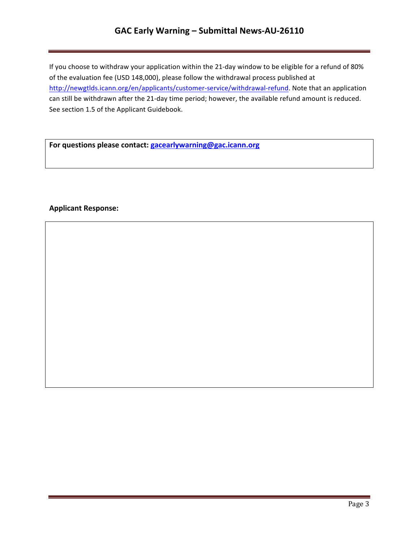## **GAC Early Warning – Submittal News-AU-26110**

If you choose to withdraw your application within the 21-day window to be eligible for a refund of 80% of the evaluation fee (USD 148,000), please follow the withdrawal process published at http://newgtlds.icann.org/en/applicants/customer-service/withdrawal-refund. Note that an application can still be withdrawn after the 21-day time period; however, the available refund amount is reduced. See section 1.5 of the Applicant Guidebook.

For questions please contact: **gacearlywarning@gac.icann.org** 

### **Applicant Response:**